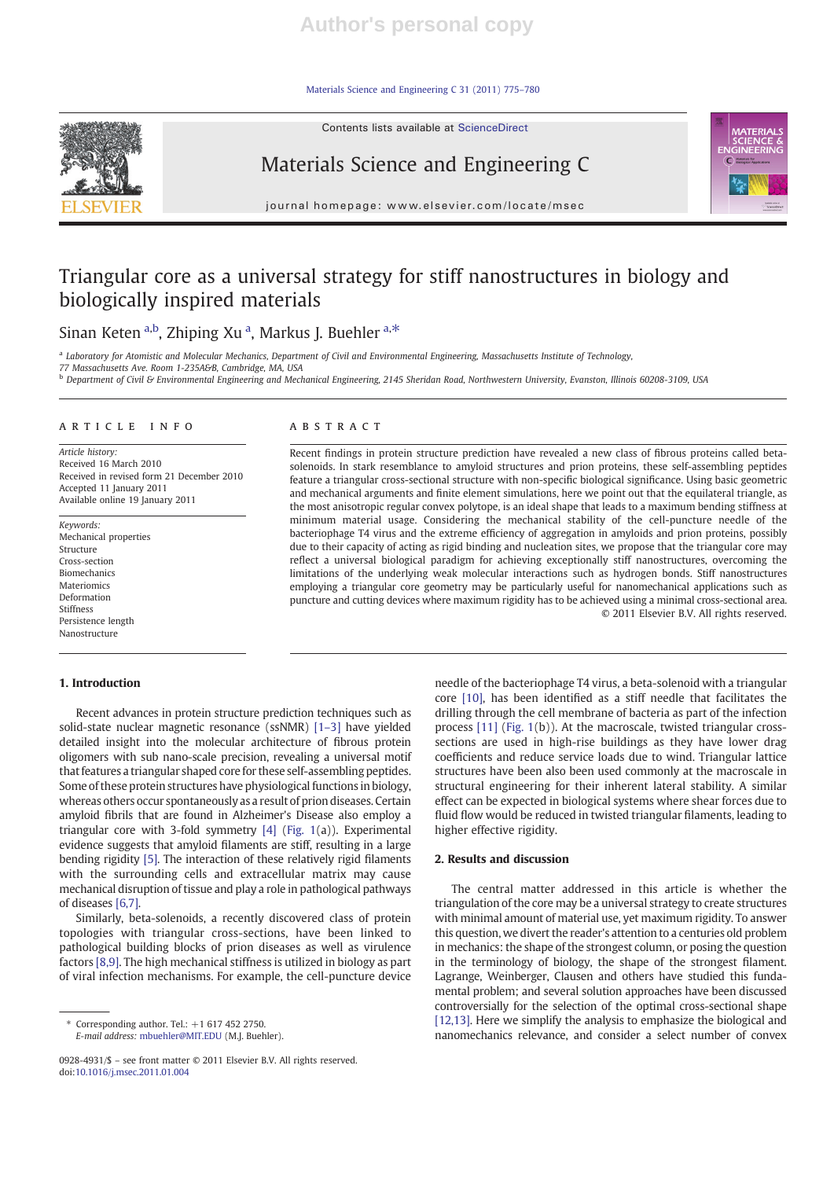Materials Science and Engineering C 31 (2011) 775–780

Contents lists available at ScienceDirect



# Materials Science and Engineering C

 $j$  or expression e p a g expression  $\mathcal{L}$  . The components of  $\mathcal{L}$ 



## Triangular core as a universal strategy for stiff nanostructures in biology and biologically inspired materials

## Sinan Keten a,b, Zhiping Xu a, Markus J. Buehler a,\*

<sup>a</sup> Laboratory for Atomistic and Molecular Mechanics, Department of Civil and Environmental Engineering, Massachusetts Institute of Technology,

77 Massachusetts Ave. Room 1-235A&B, Cambridge, MA, USA

<sup>b</sup> Department of Civil & Environmental Engineering and Mechanical Engineering, 2145 Sheridan Road, Northwestern University, Evanston, Illinois 60208-3109, USA

#### article info abstract

Article history: Received 16 March 2010 Received in revised form 21 December 2010 Accepted 11 January 2011 Available online 19 January 2011

Keywords: Mechanical properties Structure Cross-section Biomechanics Materiomics Deformation Stiffness Persistence length Nanostructure

### 1. Introduction

Recent advances in protein structure prediction techniques such as solid-state nuclear magnetic resonance (ssNMR) [1–3] have yielded detailed insight into the molecular architecture of fibrous protein oligomers with sub nano-scale precision, revealing a universal motif that features a triangular shaped core for these self-assembling peptides. Some of these protein structures have physiological functions in biology, whereas others occur spontaneously as a result of prion diseases. Certain amyloid fibrils that are found in Alzheimer's Disease also employ a triangular core with 3-fold symmetry [4] (Fig. 1(a)). Experimental evidence suggests that amyloid filaments are stiff, resulting in a large bending rigidity [5]. The interaction of these relatively rigid filaments with the surrounding cells and extracellular matrix may cause mechanical disruption of tissue and play a role in pathological pathways of diseases [6,7].

Similarly, beta-solenoids, a recently discovered class of protein topologies with triangular cross-sections, have been linked to pathological building blocks of prion diseases as well as virulence factors [8,9]. The high mechanical stiffness is utilized in biology as part of viral infection mechanisms. For example, the cell-puncture device

Recent findings in protein structure prediction have revealed a new class of fibrous proteins called betasolenoids. In stark resemblance to amyloid structures and prion proteins, these self-assembling peptides feature a triangular cross-sectional structure with non-specific biological significance. Using basic geometric and mechanical arguments and finite element simulations, here we point out that the equilateral triangle, as the most anisotropic regular convex polytope, is an ideal shape that leads to a maximum bending stiffness at minimum material usage. Considering the mechanical stability of the cell-puncture needle of the bacteriophage T4 virus and the extreme efficiency of aggregation in amyloids and prion proteins, possibly due to their capacity of acting as rigid binding and nucleation sites, we propose that the triangular core may reflect a universal biological paradigm for achieving exceptionally stiff nanostructures, overcoming the limitations of the underlying weak molecular interactions such as hydrogen bonds. Stiff nanostructures employing a triangular core geometry may be particularly useful for nanomechanical applications such as puncture and cutting devices where maximum rigidity has to be achieved using a minimal cross-sectional area. © 2011 Elsevier B.V. All rights reserved.

> needle of the bacteriophage T4 virus, a beta-solenoid with a triangular core [10], has been identified as a stiff needle that facilitates the drilling through the cell membrane of bacteria as part of the infection process [11] (Fig. 1(b)). At the macroscale, twisted triangular crosssections are used in high-rise buildings as they have lower drag coefficients and reduce service loads due to wind. Triangular lattice structures have been also been used commonly at the macroscale in structural engineering for their inherent lateral stability. A similar effect can be expected in biological systems where shear forces due to fluid flow would be reduced in twisted triangular filaments, leading to higher effective rigidity.

#### 2. Results and discussion

The central matter addressed in this article is whether the triangulation of the core may be a universal strategy to create structures with minimal amount of material use, yet maximum rigidity. To answer this question, we divert the reader's attention to a centuries old problem in mechanics: the shape of the strongest column, or posing the question in the terminology of biology, the shape of the strongest filament. Lagrange, Weinberger, Clausen and others have studied this fundamental problem; and several solution approaches have been discussed controversially for the selection of the optimal cross-sectional shape [12,13]. Here we simplify the analysis to emphasize the biological and nanomechanics relevance, and consider a select number of convex



 $*$  Corresponding author. Tel.:  $+1$  617 452 2750. E-mail address: mbuehler@MIT.EDU (M.J. Buehler).

<sup>0928-4931/\$</sup> – see front matter © 2011 Elsevier B.V. All rights reserved. doi:10.1016/j.msec.2011.01.004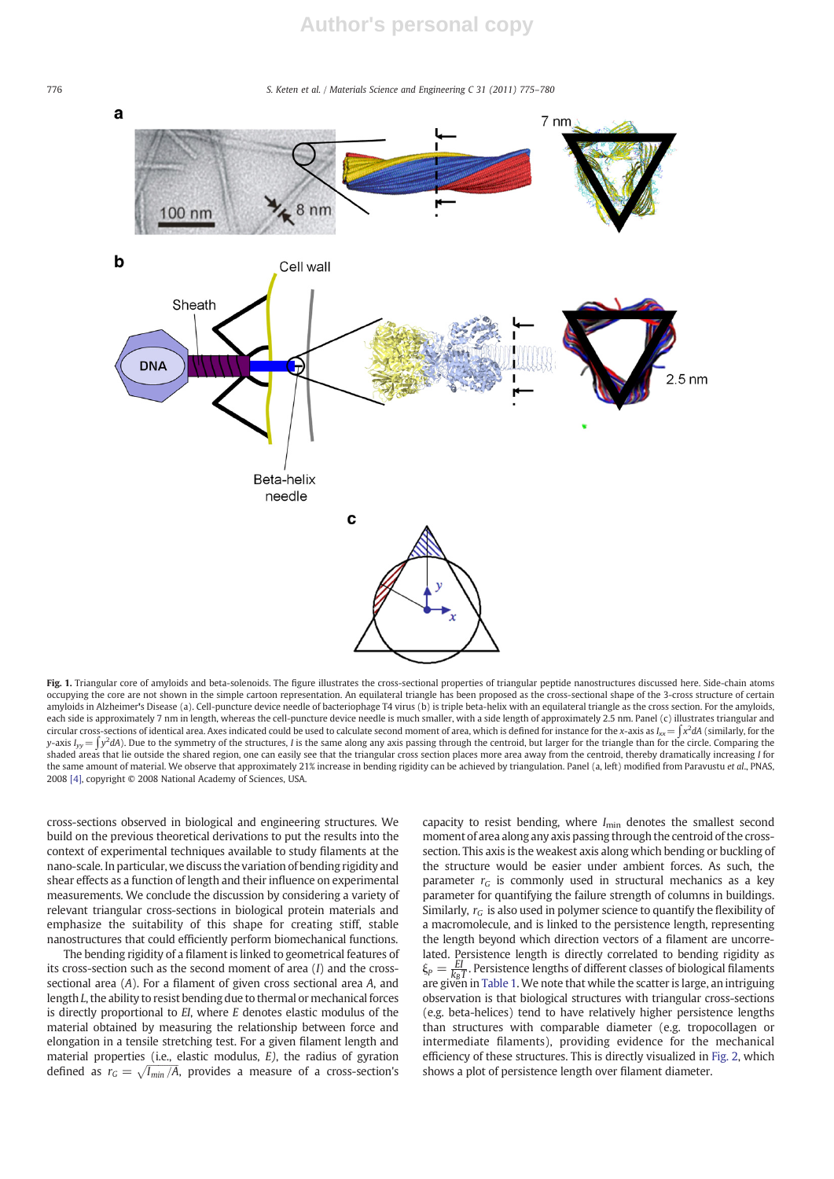776 S. Keten et al. / Materials Science and Engineering C 31 (2011) 775–780



Fig. 1. Triangular core of amyloids and beta-solenoids. The figure illustrates the cross-sectional properties of triangular peptide nanostructures discussed here. Side-chain atoms occupying the core are not shown in the simple cartoon representation. An equilateral triangle has been proposed as the cross-sectional shape of the 3-cross structure of certain amyloids in Alzheimer's Disease (a). Cell-puncture device needle of bacteriophage T4 virus (b) is triple beta-helix with an equilateral triangle as the cross section. For the amyloids, each side is approximately 7 nm in length, whereas the cell-puncture device needle is much smaller, with a side length of approximately 2.5 nm. Panel (c) illustrates triangular and circular cross-sections of identical area. Axes indicated could be used to calculate second moment of area, which is defined for instance for the x-axis as Ixx $=\int x^2dA$  (similarly, for the y-axis I<sub>yy</sub> = ∫y<sup>2</sup>dA). Due to the symmetry of the structures, I is the same along any axis passing through the centroid, but larger for the triangle than for the circle. Comparing the shaded areas that lie outside the shared region, one can easily see that the triangular cross section places more area away from the centroid, thereby dramatically increasing I for the same amount of material. We observe that approximately 21% increase in bending rigidity can be achieved by triangulation. Panel (a, left) modified from Paravustu et al., PNAS, 2008 [4], copyright © 2008 National Academy of Sciences, USA.

cross-sections observed in biological and engineering structures. We build on the previous theoretical derivations to put the results into the context of experimental techniques available to study filaments at the nano-scale. In particular, we discuss the variation of bending rigidity and shear effects as a function of length and their influence on experimental measurements. We conclude the discussion by considering a variety of relevant triangular cross-sections in biological protein materials and emphasize the suitability of this shape for creating stiff, stable nanostructures that could efficiently perform biomechanical functions.

The bending rigidity of a filament is linked to geometrical features of its cross-section such as the second moment of area  $(I)$  and the crosssectional area (A). For a filament of given cross sectional area A, and length L, the ability to resist bending due to thermal or mechanical forces is directly proportional to  $EI$ , where  $E$  denotes elastic modulus of the material obtained by measuring the relationship between force and elongation in a tensile stretching test. For a given filament length and material properties (i.e., elastic modulus, E), the radius of gyration defined as  $r_G = \sqrt{I_{min}/A}$ , provides a measure of a cross-section's

capacity to resist bending, where  $I_{\text{min}}$  denotes the smallest second moment of area along any axis passing through the centroid of the crosssection. This axis is the weakest axis along which bending or buckling of the structure would be easier under ambient forces. As such, the parameter  $r_G$  is commonly used in structural mechanics as a key parameter for quantifying the failure strength of columns in buildings. Similarly,  $r_G$  is also used in polymer science to quantify the flexibility of a macromolecule, and is linked to the persistence length, representing the length beyond which direction vectors of a filament are uncorrelated. Persistence length is directly correlated to bending rigidity as  $\xi_p = \frac{EI}{k_B T}$ . Persistence lengths of different classes of biological filaments are given in Table 1. We note that while the scatter is large, an intriguing observation is that biological structures with triangular cross-sections (e.g. beta-helices) tend to have relatively higher persistence lengths than structures with comparable diameter (e.g. tropocollagen or intermediate filaments), providing evidence for the mechanical efficiency of these structures. This is directly visualized in Fig. 2, which shows a plot of persistence length over filament diameter.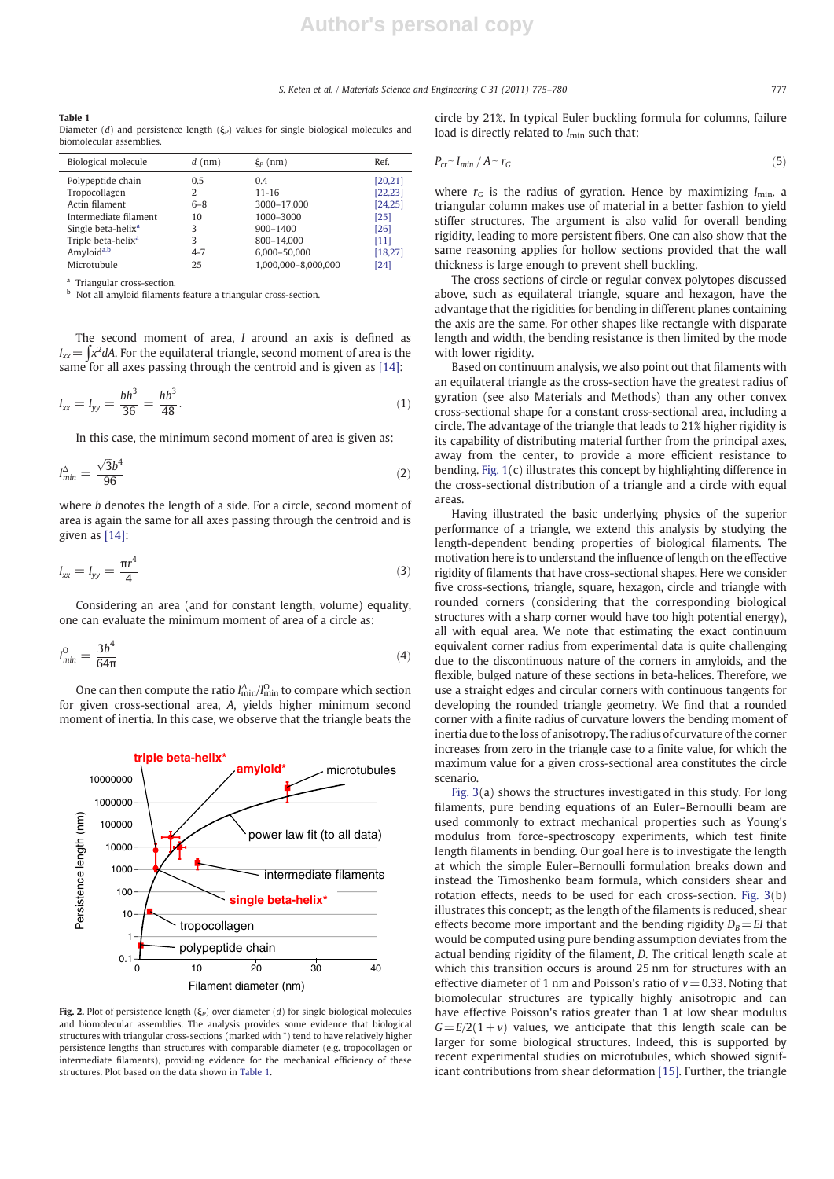#### S. Keten et al. / Materials Science and Engineering C 31 (2011) 775–780 777

| Table 1                                                                                    |
|--------------------------------------------------------------------------------------------|
| Diameter (d) and persistence length ( $\xi_P$ ) values for single biological molecules and |
| biomolecular assemblies.                                                                   |

| Biological molecule            | $d$ (nm) | $\xi_P$ (nm)        | Ref.     |
|--------------------------------|----------|---------------------|----------|
| Polypeptide chain              | 0.5      | 0.4                 | [20, 21] |
| Tropocollagen                  | 2        | $11 - 16$           | [22, 23] |
| Actin filament                 | $6 - 8$  | 3000-17,000         | [24, 25] |
| Intermediate filament          | 10       | 1000-3000           | $[25]$   |
| Single beta-helix <sup>a</sup> | 3        | $900 - 1400$        | [26]     |
| Triple beta-helix <sup>a</sup> | 3        | 800-14,000          | [11]     |
| Amyloid <sup>a,b</sup>         | $4 - 7$  | 6.000-50.000        | [18, 27] |
| Microtubule                    | 25       | 1.000.000-8.000.000 | [24]     |

<sup>a</sup> Triangular cross-section.

<sup>b</sup> Not all amyloid filaments feature a triangular cross-section.

The second moment of area, I around an axis is defined as  $I_{xx}$   $\!=$   $\int$ x $^2$ dA. For the equilateral triangle, second moment of area is the same for all axes passing through the centroid and is given as [14]:

$$
I_{xx} = I_{yy} = \frac{bh^3}{36} = \frac{hb^3}{48}.
$$
\n(1)

In this case, the minimum second moment of area is given as:

$$
I_{\min}^{\Delta} = \frac{\sqrt{3}b^4}{96} \tag{2}
$$

where b denotes the length of a side. For a circle, second moment of area is again the same for all axes passing through the centroid and is given as [14]:

$$
I_{xx} = I_{yy} = \frac{\pi r^4}{4} \tag{3}
$$

Considering an area (and for constant length, volume) equality, one can evaluate the minimum moment of area of a circle as:

$$
I_{\min}^0 = \frac{3b^4}{64\pi} \tag{4}
$$

One can then compute the ratio  $I_{\min}^{\Delta}/I_{\min}^{\Omega}$  to compare which section for given cross-sectional area, A, yields higher minimum second moment of inertia. In this case, we observe that the triangle beats the



Fig. 2. Plot of persistence length  $(\xi_P)$  over diameter (d) for single biological molecules and biomolecular assemblies. The analysis provides some evidence that biological structures with triangular cross-sections (marked with \*) tend to have relatively higher persistence lengths than structures with comparable diameter (e.g. tropocollagen or intermediate filaments), providing evidence for the mechanical efficiency of these structures. Plot based on the data shown in Table 1.

circle by 21%. In typical Euler buckling formula for columns, failure load is directly related to  $I_{\text{min}}$  such that:

$$
P_{cr} \sim I_{min} / A \sim r_G \tag{5}
$$

where  $r_G$  is the radius of gyration. Hence by maximizing  $I_{\text{min}}$ , a triangular column makes use of material in a better fashion to yield stiffer structures. The argument is also valid for overall bending rigidity, leading to more persistent fibers. One can also show that the same reasoning applies for hollow sections provided that the wall thickness is large enough to prevent shell buckling.

The cross sections of circle or regular convex polytopes discussed above, such as equilateral triangle, square and hexagon, have the advantage that the rigidities for bending in different planes containing the axis are the same. For other shapes like rectangle with disparate length and width, the bending resistance is then limited by the mode with lower rigidity.

Based on continuum analysis, we also point out that filaments with an equilateral triangle as the cross-section have the greatest radius of gyration (see also Materials and Methods) than any other convex cross-sectional shape for a constant cross-sectional area, including a circle. The advantage of the triangle that leads to 21% higher rigidity is its capability of distributing material further from the principal axes, away from the center, to provide a more efficient resistance to bending. Fig. 1(c) illustrates this concept by highlighting difference in the cross-sectional distribution of a triangle and a circle with equal areas.

Having illustrated the basic underlying physics of the superior performance of a triangle, we extend this analysis by studying the length-dependent bending properties of biological filaments. The motivation here is to understand the influence of length on the effective rigidity of filaments that have cross-sectional shapes. Here we consider five cross-sections, triangle, square, hexagon, circle and triangle with rounded corners (considering that the corresponding biological structures with a sharp corner would have too high potential energy), all with equal area. We note that estimating the exact continuum equivalent corner radius from experimental data is quite challenging due to the discontinuous nature of the corners in amyloids, and the flexible, bulged nature of these sections in beta-helices. Therefore, we use a straight edges and circular corners with continuous tangents for developing the rounded triangle geometry. We find that a rounded corner with a finite radius of curvature lowers the bending moment of inertia due to the loss of anisotropy. The radius of curvature of the corner increases from zero in the triangle case to a finite value, for which the maximum value for a given cross-sectional area constitutes the circle scenario.

Fig. 3(a) shows the structures investigated in this study. For long filaments, pure bending equations of an Euler–Bernoulli beam are used commonly to extract mechanical properties such as Young's modulus from force-spectroscopy experiments, which test finite length filaments in bending. Our goal here is to investigate the length at which the simple Euler–Bernoulli formulation breaks down and instead the Timoshenko beam formula, which considers shear and rotation effects, needs to be used for each cross-section. Fig. 3(b) illustrates this concept; as the length of the filaments is reduced, shear effects become more important and the bending rigidity  $D_B=EI$  that would be computed using pure bending assumption deviates from the actual bending rigidity of the filament, D. The critical length scale at which this transition occurs is around 25 nm for structures with an effective diameter of 1 nm and Poisson's ratio of  $v= 0.33$ . Noting that biomolecular structures are typically highly anisotropic and can have effective Poisson's ratios greater than 1 at low shear modulus  $G=E/2(1+v)$  values, we anticipate that this length scale can be larger for some biological structures. Indeed, this is supported by recent experimental studies on microtubules, which showed significant contributions from shear deformation [15]. Further, the triangle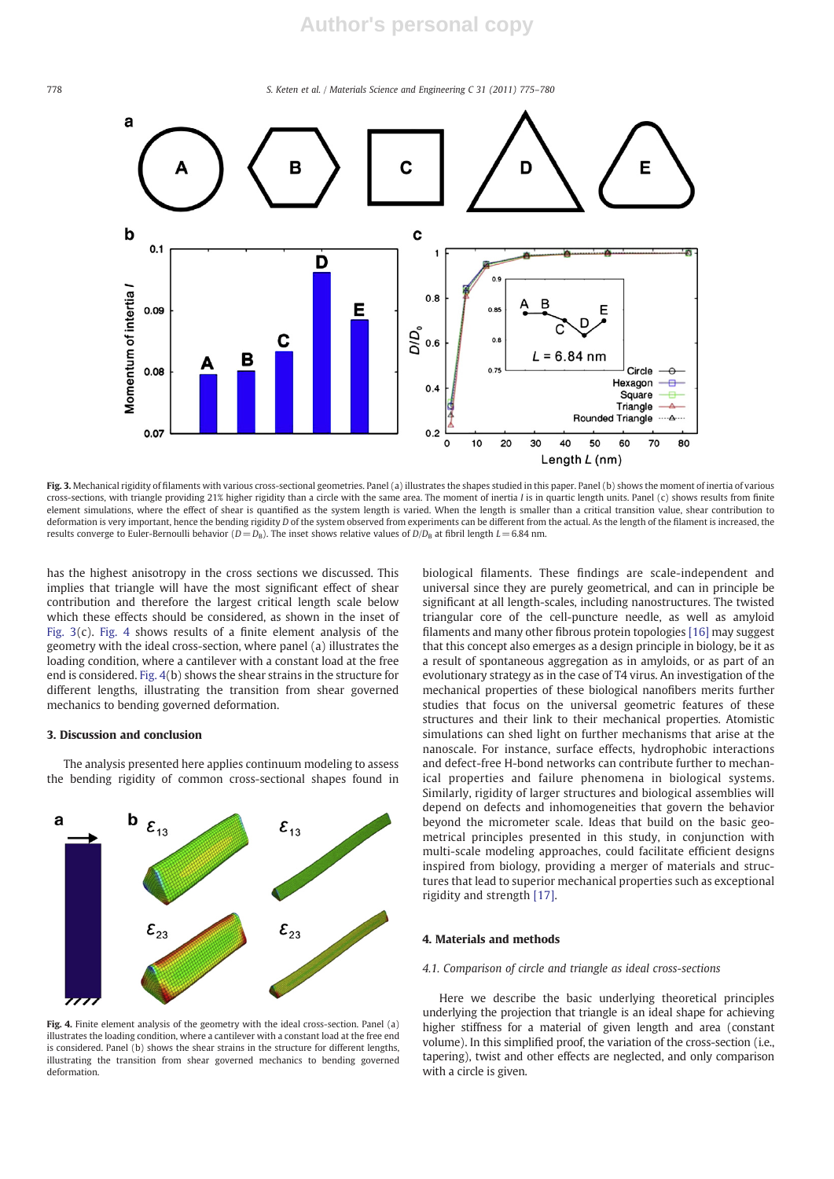778 S. Keten et al. / Materials Science and Engineering C 31 (2011) 775–780



Fig. 3. Mechanical rigidity of filaments with various cross-sectional geometries. Panel (a) illustrates the shapes studied in this paper. Panel (b) shows the moment of inertia of various cross-sections, with triangle providing 21% higher rigidity than a circle with the same area. The moment of inertia I is in quartic length units. Panel (c) shows results from finite element simulations, where the effect of shear is quantified as the system length is varied. When the length is smaller than a critical transition value, shear contribution to deformation is very important, hence the bending rigidity D of the system observed from experiments can be different from the actual. As the length of the filament is increased, the results converge to Euler-Bernoulli behavior ( $D=D_B$ ). The inset shows relative values of  $D/D_B$  at fibril length  $L=6.84$  nm.

has the highest anisotropy in the cross sections we discussed. This implies that triangle will have the most significant effect of shear contribution and therefore the largest critical length scale below which these effects should be considered, as shown in the inset of Fig. 3(c). Fig. 4 shows results of a finite element analysis of the geometry with the ideal cross-section, where panel (a) illustrates the loading condition, where a cantilever with a constant load at the free end is considered. Fig. 4(b) shows the shear strains in the structure for different lengths, illustrating the transition from shear governed mechanics to bending governed deformation.

#### 3. Discussion and conclusion

The analysis presented here applies continuum modeling to assess the bending rigidity of common cross-sectional shapes found in



Fig. 4. Finite element analysis of the geometry with the ideal cross-section. Panel (a) illustrates the loading condition, where a cantilever with a constant load at the free end is considered. Panel (b) shows the shear strains in the structure for different lengths, illustrating the transition from shear governed mechanics to bending governed deformation.

biological filaments. These findings are scale-independent and universal since they are purely geometrical, and can in principle be significant at all length-scales, including nanostructures. The twisted triangular core of the cell-puncture needle, as well as amyloid filaments and many other fibrous protein topologies [16] may suggest that this concept also emerges as a design principle in biology, be it as a result of spontaneous aggregation as in amyloids, or as part of an evolutionary strategy as in the case of T4 virus. An investigation of the mechanical properties of these biological nanofibers merits further studies that focus on the universal geometric features of these structures and their link to their mechanical properties. Atomistic simulations can shed light on further mechanisms that arise at the nanoscale. For instance, surface effects, hydrophobic interactions and defect-free H-bond networks can contribute further to mechanical properties and failure phenomena in biological systems. Similarly, rigidity of larger structures and biological assemblies will depend on defects and inhomogeneities that govern the behavior beyond the micrometer scale. Ideas that build on the basic geometrical principles presented in this study, in conjunction with multi-scale modeling approaches, could facilitate efficient designs inspired from biology, providing a merger of materials and structures that lead to superior mechanical properties such as exceptional rigidity and strength [17].

#### 4. Materials and methods

#### 4.1. Comparison of circle and triangle as ideal cross-sections

Here we describe the basic underlying theoretical principles underlying the projection that triangle is an ideal shape for achieving higher stiffness for a material of given length and area (constant volume). In this simplified proof, the variation of the cross-section (i.e., tapering), twist and other effects are neglected, and only comparison with a circle is given.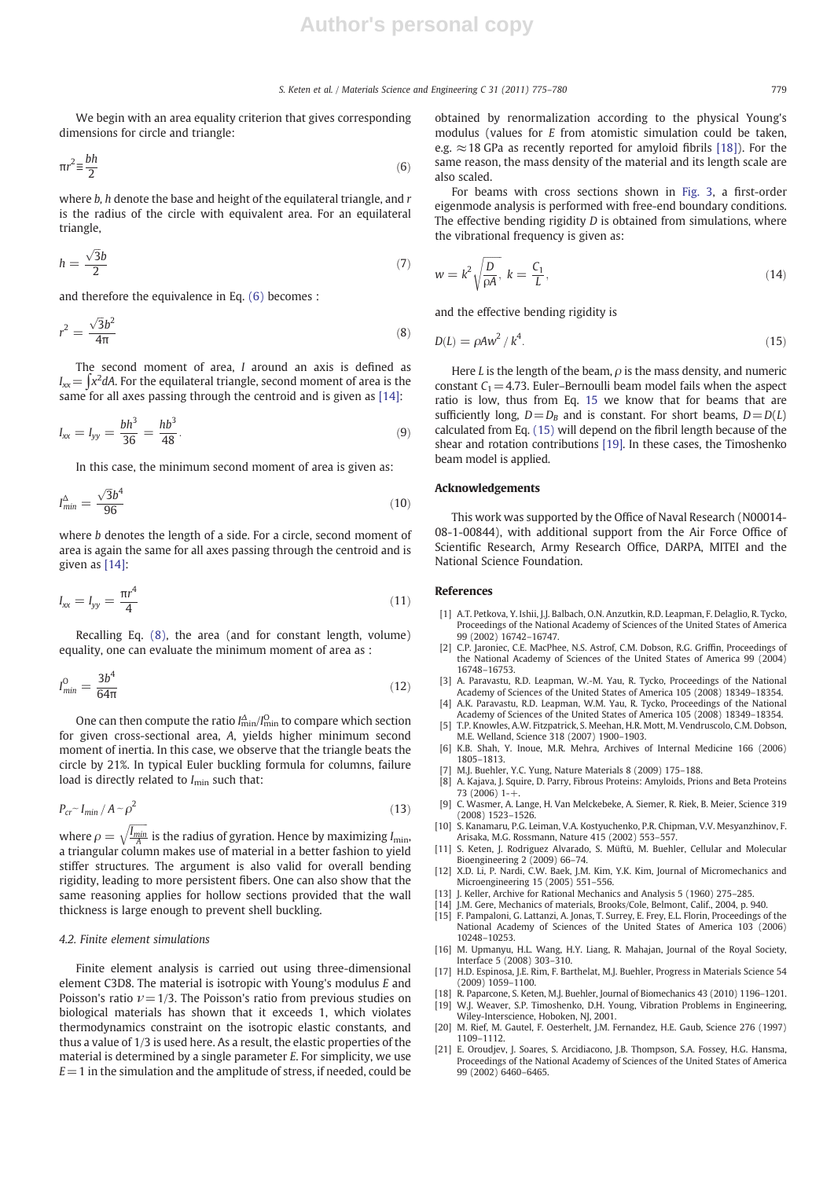#### S. Keten et al. / Materials Science and Engineering C 31 (2011) 775–780 779

We begin with an area equality criterion that gives corresponding dimensions for circle and triangle:

$$
\pi r^2 \equiv \frac{bh}{2} \tag{6}
$$

where  $b$ ,  $h$  denote the base and height of the equilateral triangle, and  $r$ is the radius of the circle with equivalent area. For an equilateral triangle,

$$
h = \frac{\sqrt{3}b}{2} \tag{7}
$$

and therefore the equivalence in Eq. (6) becomes :

$$
r^2 = \frac{\sqrt{3}b^2}{4\pi} \tag{8}
$$

The second moment of area, I around an axis is defined as  $I_{xx}$   $\!=$   $\int$ x $^2$ dA. For the equilateral triangle, second moment of area is the same for all axes passing through the centroid and is given as [14]:

$$
I_{xx} = I_{yy} = \frac{bh^3}{36} = \frac{hb^3}{48}.
$$
\n(9)

In this case, the minimum second moment of area is given as:

$$
I_{min}^{\Delta} = \frac{\sqrt{3}b^4}{96} \tag{10}
$$

where b denotes the length of a side. For a circle, second moment of area is again the same for all axes passing through the centroid and is given as [14]:

$$
I_{xx} = I_{yy} = \frac{\pi r^4}{4}
$$
 (11)

Recalling Eq. (8), the area (and for constant length, volume) equality, one can evaluate the minimum moment of area as :

$$
I_{\min}^0 = \frac{3b^4}{64\pi} \tag{12}
$$

One can then compute the ratio  $I_{\rm min}^{\Delta}/I_{\rm min}^{\rm O}$  to compare which section for given cross-sectional area, A, yields higher minimum second moment of inertia. In this case, we observe that the triangle beats the circle by 21%. In typical Euler buckling formula for columns, failure load is directly related to  $I_{\text{min}}$  such that:

$$
P_{cr} \sim I_{min} / A \sim \rho^2 \tag{13}
$$

where  $\rho = \sqrt{\frac{I_{min}}{A}}$  $\sqrt{\frac{I_{min}}{A}}$  is the radius of gyration. Hence by maximizing  $I_{min}$ , a triangular column makes use of material in a better fashion to yield stiffer structures. The argument is also valid for overall bending rigidity, leading to more persistent fibers. One can also show that the same reasoning applies for hollow sections provided that the wall thickness is large enough to prevent shell buckling.

#### 4.2. Finite element simulations

Finite element analysis is carried out using three-dimensional element C3D8. The material is isotropic with Young's modulus E and Poisson's ratio  $\nu = 1/3$ . The Poisson's ratio from previous studies on biological materials has shown that it exceeds 1, which violates thermodynamics constraint on the isotropic elastic constants, and thus a value of 1/3 is used here. As a result, the elastic properties of the material is determined by a single parameter E. For simplicity, we use  $E=1$  in the simulation and the amplitude of stress, if needed, could be obtained by renormalization according to the physical Young's modulus (values for E from atomistic simulation could be taken, e.g.  $\approx$  18 GPa as recently reported for amyloid fibrils [18]). For the same reason, the mass density of the material and its length scale are also scaled.

For beams with cross sections shown in Fig. 3, a first-order eigenmode analysis is performed with free-end boundary conditions. The effective bending rigidity *D* is obtained from simulations, where the vibrational frequency is given as:

$$
w = k^2 \sqrt{\frac{D}{\rho A}}, \ k = \frac{C_1}{L}, \tag{14}
$$

and the effective bending rigidity is

$$
D(L) = \rho A w^2 / k^4. \tag{15}
$$

Here L is the length of the beam,  $\rho$  is the mass density, and numeric constant  $C_1$  = 4.73. Euler–Bernoulli beam model fails when the aspect ratio is low, thus from Eq. 15 we know that for beams that are sufficiently long,  $D=D_B$  and is constant. For short beams,  $D=D(L)$ calculated from Eq. (15) will depend on the fibril length because of the shear and rotation contributions [19]. In these cases, the Timoshenko beam model is applied.

#### Acknowledgements

This work was supported by the Office of Naval Research (N00014- 08-1-00844), with additional support from the Air Force Office of Scientific Research, Army Research Office, DARPA, MITEI and the National Science Foundation.

#### References

- [1] A.T. Petkova, Y. Ishii, J.J. Balbach, O.N. Anzutkin, R.D. Leapman, F. Delaglio, R. Tycko, Proceedings of the National Academy of Sciences of the United States of America 99 (2002) 16742–16747.
- [2] C.P. Jaroniec, C.E. MacPhee, N.S. Astrof, C.M. Dobson, R.G. Griffin, Proceedings of the National Academy of Sciences of the United States of America 99 (2004) 16748–16753.
- [3] A. Paravastu, R.D. Leapman, W.-M. Yau, R. Tycko, Proceedings of the National Academy of Sciences of the United States of America 105 (2008) 18349–18354. [4] A.K. Paravastu, R.D. Leapman, W.M. Yau, R. Tycko, Proceedings of the National
- Academy of Sciences of the United States of America 105 (2008) 18349–18354. [5] T.P. Knowles, A.W. Fitzpatrick, S. Meehan, H.R. Mott, M. Vendruscolo, C.M. Dobson,
- M.E. Welland, Science 318 (2007) 1900–1903.
- [6] K.B. Shah, Y. Inoue, M.R. Mehra, Archives of Internal Medicine 166 (2006) 1805–1813.
- [7] M.J. Buehler, Y.C. Yung, Nature Materials 8 (2009) 175–188.
- A. Kajava, J. Squire, D. Parry, Fibrous Proteins: Amyloids, Prions and Beta Proteins 73 (2006)  $1 - \frac{1}{1}$
- [9] C. Wasmer, A. Lange, H. Van Melckebeke, A. Siemer, R. Riek, B. Meier, Science 319 (2008) 1523–1526. [10] S. Kanamaru, P.G. Leiman, V.A. Kostyuchenko, P.R. Chipman, V.V. Mesyanzhinov, F.
- Arisaka, M.G. Rossmann, Nature 415 (2002) 553–557.
- [11] S. Keten, J. Rodriguez Alvarado, S. Müftü, M. Buehler, Cellular and Molecular Bioengineering 2 (2009) 66–74.
- [12] X.D. Li, P. Nardi, C.W. Baek, J.M. Kim, Y.K. Kim, Journal of Micromechanics and Microengineering 15 (2005) 551–556.
- [13] J. Keller, Archive for Rational Mechanics and Analysis 5 (1960) 275–285.
- [14] J.M. Gere, Mechanics of materials, Brooks/Cole, Belmont, Calif., 2004, p. 940.
- [15] F. Pampaloni, G. Lattanzi, A. Jonas, T. Surrey, E. Frey, E.L. Florin, Proceedings of the National Academy of Sciences of the United States of America 103 (2006) 10248–10253.
- [16] M. Upmanyu, H.L. Wang, H.Y. Liang, R. Mahajan, Journal of the Royal Society, Interface 5 (2008) 303–310.
- [17] H.D. Espinosa, J.E. Rim, F. Barthelat, M.J. Buehler, Progress in Materials Science 54 (2009) 1059–1100.
- [18] R. Paparcone, S. Keten, M.J. Buehler, Journal of Biomechanics 43 (2010) 1196–1201. [19] W.J. Weaver, S.P. Timoshenko, D.H. Young, Vibration Problems in Engineering, Wiley-Interscience, Hoboken, NJ, 2001.
- [20] M. Rief, M. Gautel, F. Oesterhelt, J.M. Fernandez, H.E. Gaub, Science 276 (1997) 1109–1112.
- [21] E. Oroudjev, J. Soares, S. Arcidiacono, J.B. Thompson, S.A. Fossey, H.G. Hansma, Proceedings of the National Academy of Sciences of the United States of America 99 (2002) 6460–6465.